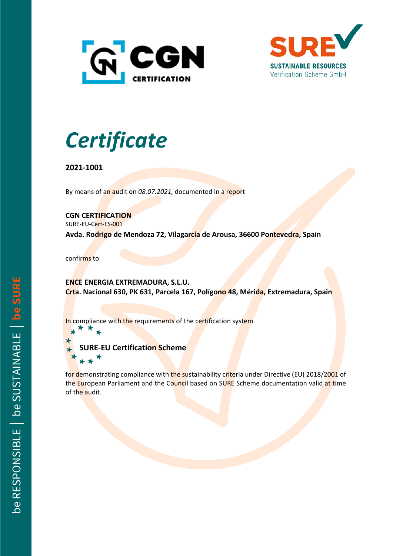



## *Certificate*

**2021-1001**

By means of an audit on *08.07.2021,* documented in a report

**CGN CERTIFICATION**

SURE-EU-Cert-ES-001

**Avda. Rodrigo de Mendoza 72, Vilagarcía de Arousa, 36600 Pontevedra, Spain**

confirms to

**ENCE ENERGIA EXTREMADURA, S.L.U. Crta. Nacional 630, PK 631, Parcela 167, Polígono 48, Mérida, Extremadura, Spain**

In compliance with the requirements of the certification system

**RE-EU Certification Scheme** 

for demonstrating compliance with the sustainability criteria under Directive (EU) 2018/2001 of the European Parliament and the Council based on SURE Scheme documentation valid at time of the audit.